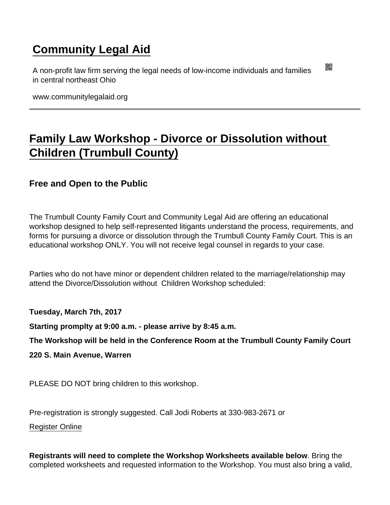## [Community Legal Aid](https://www.communitylegalaid.org/)

A non-profit law firm serving the legal needs of low-income individuals and families in central northeast Ohio

www.communitylegalaid.org

## [Family Law Workshop - Divorce or Dissolution without](https://www.communitylegalaid.org/node/310/family-law-workshop-divorce-or-dissolution-without-children-trumbull-county)  [Children \(Trumbull County\)](https://www.communitylegalaid.org/node/310/family-law-workshop-divorce-or-dissolution-without-children-trumbull-county)

Free and Open to the Public

The Trumbull County Family Court and Community Legal Aid are offering an educational workshop designed to help self-represented litigants understand the process, requirements, and forms for pursuing a divorce or dissolution through the Trumbull County Family Court. This is an educational workshop ONLY. You will not receive legal counsel in regards to your case.

Parties who do not have minor or dependent children related to the marriage/relationship may attend the Divorce/Dissolution without Children Workshop scheduled:

Tuesday, March 7th, 2017

Starting promplty at 9:00 a.m. - please arrive by 8:45 a.m.

The Workshop will be held in the Conference Room at the Trumbull County Family Court

220 S. Main Avenue, Warren

PLEASE DO NOT bring children to this workshop.

Pre-registration is strongly suggested. Call Jodi Roberts at 330-983-2671 or

[Register Online](https://docs.google.com/forms/d/e/1FAIpQLSeb_QLmPSEFiHcA7zZZFh7XvHuG_pQFLUbM3CCM00g6VWkSSA/viewform?c=0&w=1)

Registrants will need to complete the Workshop Worksheets available below . Bring the completed worksheets and requested information to the Workshop. You must also bring a valid,